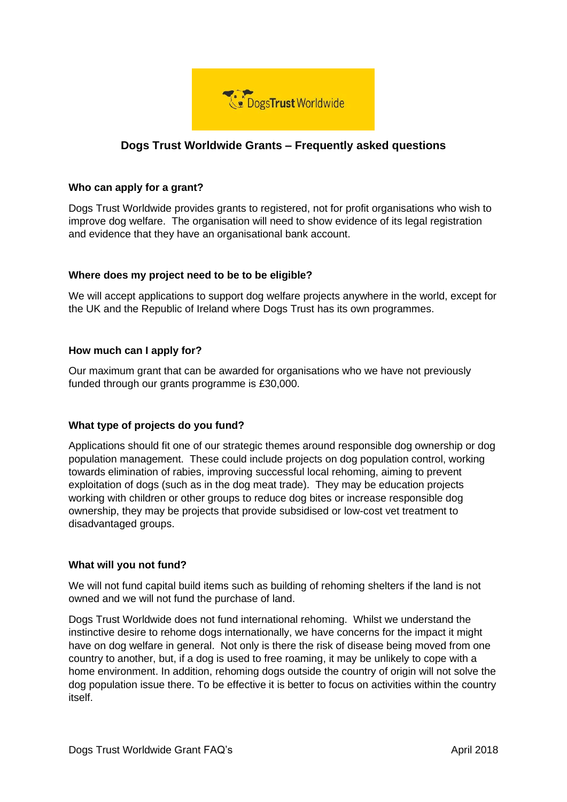

# **Dogs Trust Worldwide Grants – Frequently asked questions**

## **Who can apply for a grant?**

Dogs Trust Worldwide provides grants to registered, not for profit organisations who wish to improve dog welfare. The organisation will need to show evidence of its legal registration and evidence that they have an organisational bank account.

# **Where does my project need to be to be eligible?**

We will accept applications to support dog welfare projects anywhere in the world, except for the UK and the Republic of Ireland where Dogs Trust has its own programmes.

# **How much can I apply for?**

Our maximum grant that can be awarded for organisations who we have not previously funded through our grants programme is £30,000.

## **What type of projects do you fund?**

Applications should fit one of our strategic themes around responsible dog ownership or dog population management. These could include projects on dog population control, working towards elimination of rabies, improving successful local rehoming, aiming to prevent exploitation of dogs (such as in the dog meat trade). They may be education projects working with children or other groups to reduce dog bites or increase responsible dog ownership, they may be projects that provide subsidised or low-cost vet treatment to disadvantaged groups.

## **What will you not fund?**

We will not fund capital build items such as building of rehoming shelters if the land is not owned and we will not fund the purchase of land.

Dogs Trust Worldwide does not fund international rehoming. Whilst we understand the instinctive desire to rehome dogs internationally, we have concerns for the impact it might have on dog welfare in general. Not only is there the risk of disease being moved from one country to another, but, if a dog is used to free roaming, it may be unlikely to cope with a home environment. In addition, rehoming dogs outside the country of origin will not solve the dog population issue there. To be effective it is better to focus on activities within the country itself.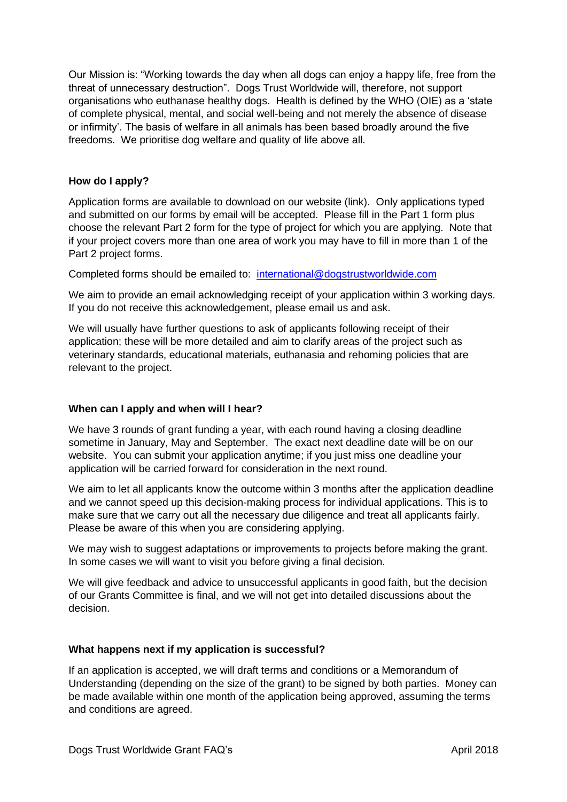Our Mission is: "Working towards the day when all dogs can enjoy a happy life, free from the threat of unnecessary destruction". Dogs Trust Worldwide will, therefore, not support organisations who euthanase healthy dogs. Health is defined by the WHO (OIE) as a 'state of complete physical, mental, and social well-being and not merely the absence of disease or infirmity'. The basis of welfare in all animals has been based broadly around the five freedoms. We prioritise dog welfare and quality of life above all.

#### **How do I apply?**

Application forms are available to download on our website (link). Only applications typed and submitted on our forms by email will be accepted. Please fill in the Part 1 form plus choose the relevant Part 2 form for the type of project for which you are applying. Note that if your project covers more than one area of work you may have to fill in more than 1 of the Part 2 project forms.

Completed forms should be emailed to: [international@dogstrustworldwide.com](mailto:international@dogstrustworldwide.com)

We aim to provide an email acknowledging receipt of your application within 3 working days. If you do not receive this acknowledgement, please email us and ask.

We will usually have further questions to ask of applicants following receipt of their application; these will be more detailed and aim to clarify areas of the project such as veterinary standards, educational materials, euthanasia and rehoming policies that are relevant to the project.

## **When can I apply and when will I hear?**

We have 3 rounds of grant funding a year, with each round having a closing deadline sometime in January, May and September. The exact next deadline date will be on our website. You can submit your application anytime; if you just miss one deadline your application will be carried forward for consideration in the next round.

We aim to let all applicants know the outcome within 3 months after the application deadline and we cannot speed up this decision-making process for individual applications. This is to make sure that we carry out all the necessary due diligence and treat all applicants fairly. Please be aware of this when you are considering applying.

We may wish to suggest adaptations or improvements to projects before making the grant. In some cases we will want to visit you before giving a final decision.

We will give feedback and advice to unsuccessful applicants in good faith, but the decision of our Grants Committee is final, and we will not get into detailed discussions about the decision.

## **What happens next if my application is successful?**

If an application is accepted, we will draft terms and conditions or a Memorandum of Understanding (depending on the size of the grant) to be signed by both parties. Money can be made available within one month of the application being approved, assuming the terms and conditions are agreed.